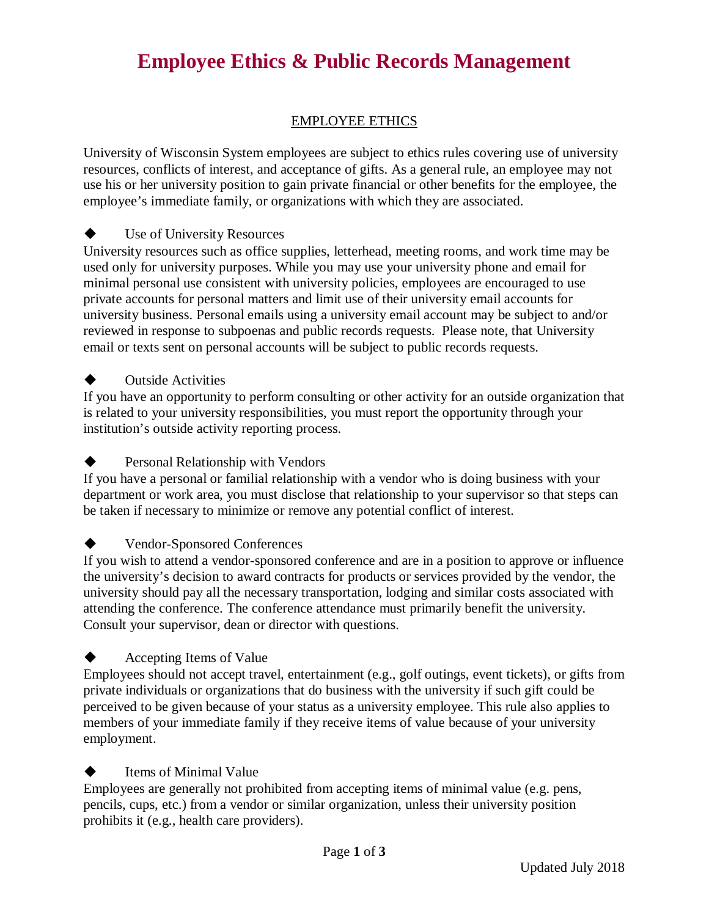# **Employee Ethics & Public Records Management**

# EMPLOYEE ETHICS

University of Wisconsin System employees are subject to ethics rules covering use of university resources, conflicts of interest, and acceptance of gifts. As a general rule, an employee may not use his or her university position to gain private financial or other benefits for the employee, the employee's immediate family, or organizations with which they are associated.

### Use of University Resources

University resources such as office supplies, letterhead, meeting rooms, and work time may be used only for university purposes. While you may use your university phone and email for minimal personal use consistent with university policies, employees are encouraged to use private accounts for personal matters and limit use of their university email accounts for university business. Personal emails using a university email account may be subject to and/or reviewed in response to subpoenas and public records requests. Please note, that University email or texts sent on personal accounts will be subject to public records requests.

### **Outside Activities**

If you have an opportunity to perform consulting or other activity for an outside organization that is related to your university responsibilities, you must report the opportunity through your institution's outside activity reporting process.

#### Personal Relationship with Vendors

If you have a personal or familial relationship with a vendor who is doing business with your department or work area, you must disclose that relationship to your supervisor so that steps can be taken if necessary to minimize or remove any potential conflict of interest.

### Vendor-Sponsored Conferences

If you wish to attend a vendor-sponsored conference and are in a position to approve or influence the university's decision to award contracts for products or services provided by the vendor, the university should pay all the necessary transportation, lodging and similar costs associated with attending the conference. The conference attendance must primarily benefit the university. Consult your supervisor, dean or director with questions.

### Accepting Items of Value

Employees should not accept travel, entertainment (e.g., golf outings, event tickets), or gifts from private individuals or organizations that do business with the university if such gift could be perceived to be given because of your status as a university employee. This rule also applies to members of your immediate family if they receive items of value because of your university employment.

### **Items of Minimal Value**

Employees are generally not prohibited from accepting items of minimal value (e.g. pens, pencils, cups, etc.) from a vendor or similar organization, unless their university position prohibits it (e.g., health care providers).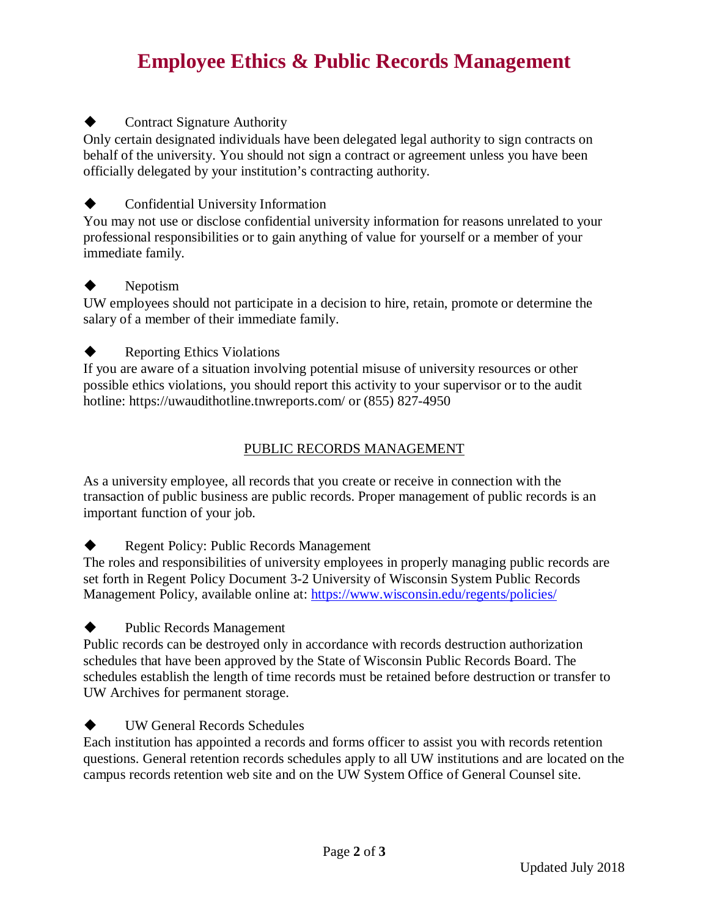# **Employee Ethics & Public Records Management**

# Contract Signature Authority

Only certain designated individuals have been delegated legal authority to sign contracts on behalf of the university. You should not sign a contract or agreement unless you have been officially delegated by your institution's contracting authority.

## Confidential University Information

You may not use or disclose confidential university information for reasons unrelated to your professional responsibilities or to gain anything of value for yourself or a member of your immediate family.

#### Nepotism

UW employees should not participate in a decision to hire, retain, promote or determine the salary of a member of their immediate family.

## **Reporting Ethics Violations**

If you are aware of a situation involving potential misuse of university resources or other possible ethics violations, you should report this activity to your supervisor or to the audit hotline: https://uwaudithotline.tnwreports.com/ or (855) 827-4950

## PUBLIC RECORDS MANAGEMENT

As a university employee, all records that you create or receive in connection with the transaction of public business are public records. Proper management of public records is an important function of your job.

**Regent Policy: Public Records Management** 

The roles and responsibilities of university employees in properly managing public records are set forth in Regent Policy Document 3-2 University of Wisconsin System Public Records Management Policy, available online at:<https://www.wisconsin.edu/regents/policies/>

Public Records Management

Public records can be destroyed only in accordance with records destruction authorization schedules that have been approved by the State of Wisconsin Public Records Board. The schedules establish the length of time records must be retained before destruction or transfer to UW Archives for permanent storage.

**UW General Records Schedules** Each institution has appointed a records and forms officer to assist you with records retention questions. General retention records schedules apply to all UW institutions and are located on the campus records retention web site and on the UW System Office of General Counsel site.